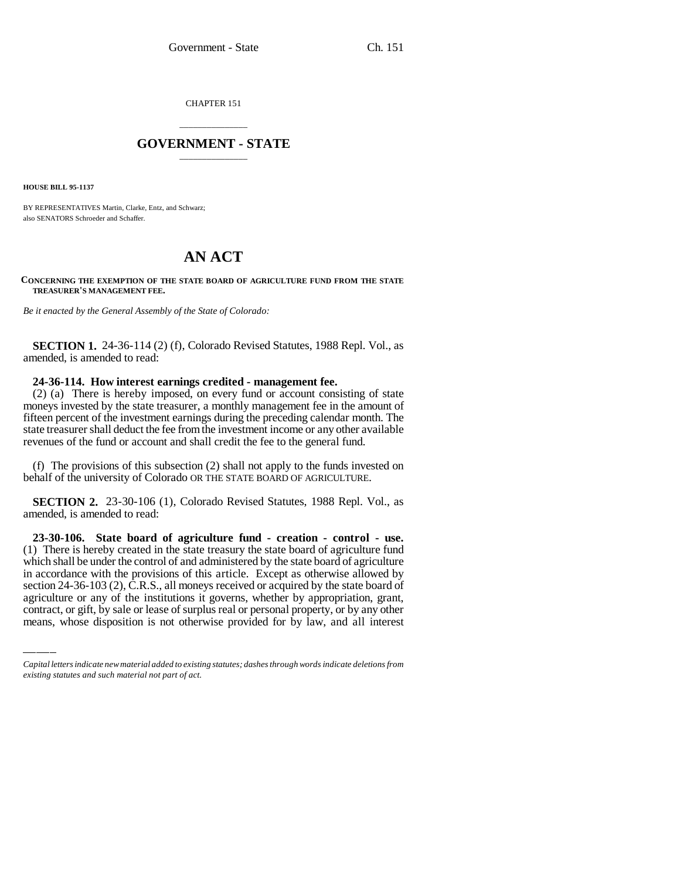CHAPTER 151

## \_\_\_\_\_\_\_\_\_\_\_\_\_\_\_ **GOVERNMENT - STATE** \_\_\_\_\_\_\_\_\_\_\_\_\_\_\_

**HOUSE BILL 95-1137**

BY REPRESENTATIVES Martin, Clarke, Entz, and Schwarz; also SENATORS Schroeder and Schaffer.

# **AN ACT**

#### **CONCERNING THE EXEMPTION OF THE STATE BOARD OF AGRICULTURE FUND FROM THE STATE TREASURER'S MANAGEMENT FEE.**

*Be it enacted by the General Assembly of the State of Colorado:*

**SECTION 1.** 24-36-114 (2) (f), Colorado Revised Statutes, 1988 Repl. Vol., as amended, is amended to read:

### **24-36-114. How interest earnings credited - management fee.**

(2) (a) There is hereby imposed, on every fund or account consisting of state moneys invested by the state treasurer, a monthly management fee in the amount of fifteen percent of the investment earnings during the preceding calendar month. The state treasurer shall deduct the fee from the investment income or any other available revenues of the fund or account and shall credit the fee to the general fund.

(f) The provisions of this subsection (2) shall not apply to the funds invested on behalf of the university of Colorado OR THE STATE BOARD OF AGRICULTURE.

**SECTION 2.** 23-30-106 (1), Colorado Revised Statutes, 1988 Repl. Vol., as amended, is amended to read:

in accordance with the provisions of this article. Except as otherwise allowed by **23-30-106. State board of agriculture fund - creation - control - use.** (1) There is hereby created in the state treasury the state board of agriculture fund which shall be under the control of and administered by the state board of agriculture section 24-36-103 (2), C.R.S., all moneys received or acquired by the state board of agriculture or any of the institutions it governs, whether by appropriation, grant, contract, or gift, by sale or lease of surplus real or personal property, or by any other means, whose disposition is not otherwise provided for by law, and all interest

*Capital letters indicate new material added to existing statutes; dashes through words indicate deletions from existing statutes and such material not part of act.*